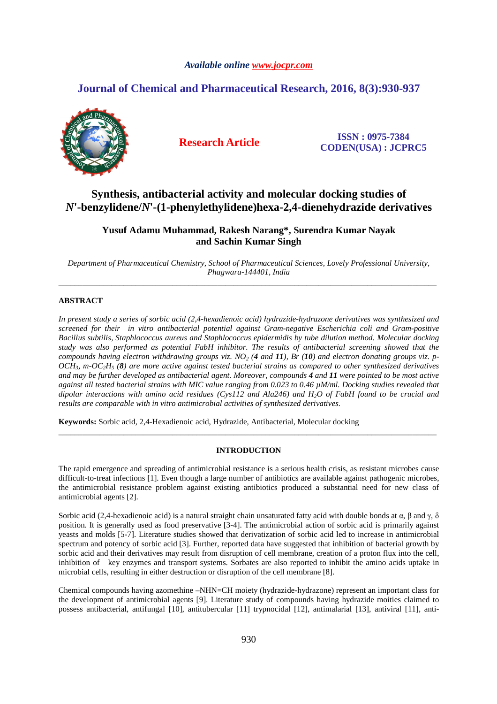# *Available online www.jocpr.com*

# **Journal of Chemical and Pharmaceutical Research, 2016, 8(3):930-937**



**Research Article ISSN : 0975-7384 CODEN(USA) : JCPRC5**

# **Synthesis, antibacterial activity and molecular docking studies of**  *N***'-benzylidene/***N***'-(1-phenylethylidene)hexa-2,4-dienehydrazide derivatives**

**Yusuf Adamu Muhammad, Rakesh Narang\*, Surendra Kumar Nayak and Sachin Kumar Singh** 

*Department of Pharmaceutical Chemistry, School of Pharmaceutical Sciences, Lovely Professional University, Phagwara-144401, India*  \_\_\_\_\_\_\_\_\_\_\_\_\_\_\_\_\_\_\_\_\_\_\_\_\_\_\_\_\_\_\_\_\_\_\_\_\_\_\_\_\_\_\_\_\_\_\_\_\_\_\_\_\_\_\_\_\_\_\_\_\_\_\_\_\_\_\_\_\_\_\_\_\_\_\_\_\_\_\_\_\_\_\_\_\_\_\_\_\_\_\_\_\_

# **ABSTRACT**

*In present study a series of sorbic acid (2,4-hexadienoic acid) hydrazide-hydrazone derivatives was synthesized and screened for their in vitro antibacterial potential against Gram-negative Escherichia coli and Gram-positive Bacillus subtilis, Staphlococcus aureus and Staphlococcus epidermidis by tube dilution method. Molecular docking study was also performed as potential FabH inhibitor. The results of antibacterial screening showed that the compounds having electron withdrawing groups viz. NO2 (4 and 11), Br (10) and electron donating groups viz. p-OCH3, m-OC2H5 (8) are more active against tested bacterial strains as compared to other synthesized derivatives and may be further developed as antibacterial agent. Moreover, compounds 4 and 11 were pointed to be most active against all tested bacterial strains with MIC value ranging from 0.023 to 0.46 µM/ml. Docking studies revealed that dipolar interactions with amino acid residues (Cys112 and Ala246) and H2O of FabH found to be crucial and results are comparable with in vitro antimicrobial activities of synthesized derivatives.* 

**Keywords:** Sorbic acid, 2,4-Hexadienoic acid, Hydrazide, Antibacterial, Molecular docking

## **INTRODUCTION**

\_\_\_\_\_\_\_\_\_\_\_\_\_\_\_\_\_\_\_\_\_\_\_\_\_\_\_\_\_\_\_\_\_\_\_\_\_\_\_\_\_\_\_\_\_\_\_\_\_\_\_\_\_\_\_\_\_\_\_\_\_\_\_\_\_\_\_\_\_\_\_\_\_\_\_\_\_\_\_\_\_\_\_\_\_\_\_\_\_\_\_\_\_

The rapid emergence and spreading of antimicrobial resistance is a serious health crisis, as resistant microbes cause difficult-to-treat infections [1]. Even though a large number of antibiotics are available against pathogenic microbes, the antimicrobial resistance problem against existing antibiotics produced a substantial need for new class of antimicrobial agents [2].

Sorbic acid (2,4-hexadienoic acid) is a natural straight chain unsaturated fatty acid with double bonds at α, β and γ, δ position. It is generally used as food preservative [3-4]. The antimicrobial action of sorbic acid is primarily against yeasts and molds [5-7]. Literature studies showed that derivatization of sorbic acid led to increase in antimicrobial spectrum and potency of sorbic acid [3]. Further, reported data have suggested that inhibition of bacterial growth by sorbic acid and their derivatives may result from disruption of cell membrane, creation of a proton flux into the cell, inhibition of key enzymes and transport systems. Sorbates are also reported to inhibit the amino acids uptake in microbial cells, resulting in either destruction or disruption of the cell membrane [8].

Chemical compounds having azomethine –NHN=CH moiety (hydrazide-hydrazone) represent an important class for the development of antimicrobial agents [9]. Literature study of compounds having hydrazide moities claimed to possess antibacterial, antifungal [10], antitubercular [11] trypnocidal [12], antimalarial [13], antiviral [11], anti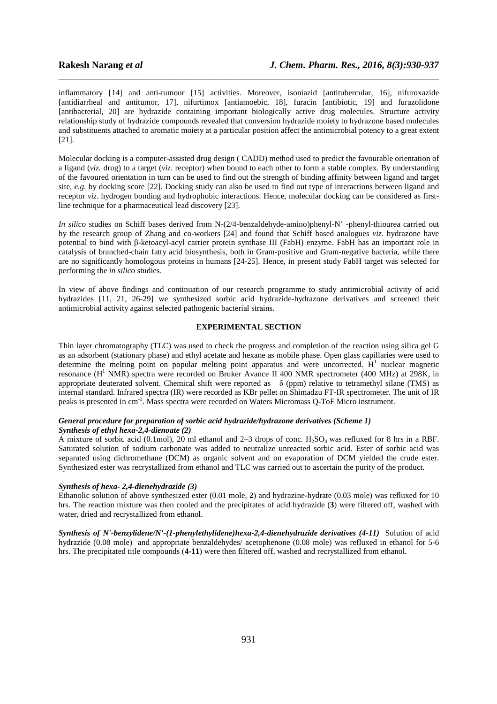inflammatory [14] and anti-tumour [15] activities. Moreover, isoniazid [antitubercular, 16], nifuroxazide [antidiarrheal and antitumor, 17], nifurtimox [antiamoebic, 18], furacin [antibiotic, 19] and furazolidone [antibacterial, 20] are hydrazide containing important biologically active drug molecules. Structure activity relationship study of hydrazide compounds revealed that conversion hydrazide moiety to hydrazone based molecules and substituents attached to aromatic moiety at a particular position affect the antimicrobial potency to a great extent [21].

\_\_\_\_\_\_\_\_\_\_\_\_\_\_\_\_\_\_\_\_\_\_\_\_\_\_\_\_\_\_\_\_\_\_\_\_\_\_\_\_\_\_\_\_\_\_\_\_\_\_\_\_\_\_\_\_\_\_\_\_\_\_\_\_\_\_\_\_\_\_\_\_\_\_\_\_\_\_

Molecular docking is a computer-assisted drug design ( CADD) method used to predict the favourable orientation of a ligand (*viz.* drug) to a target (*viz.* receptor) when bound to each other to form a stable complex. By understanding of the favoured orientation in turn can be used to find out the strength of binding affinity between ligand and target site, *e.g.* by docking score [22]. Docking study can also be used to find out type of interactions between ligand and receptor *viz.* hydrogen bonding and hydrophobic interactions. Hence, molecular docking can be considered as firstline technique for a pharmaceutical lead discovery [23].

*In silico* studies on Schiff bases derived from N-(2/4-benzaldehyde-amino)phenyl-N' -phenyl-thiourea carried out by the research group of Zhang and co-workers [24] and found that Schiff based analogues *viz.* hydrazone have potential to bind with β-ketoacyl-acyl carrier protein synthase III (FabH) enzyme. FabH has an important role in catalysis of branched-chain fatty acid biosynthesis, both in Gram-positive and Gram-negative bacteria, while there are no significantly homologous proteins in humans [24-25]. Hence, in present study FabH target was selected for performing the *in silico* studies.

In view of above findings and continuation of our research programme to study antimicrobial activity of acid hydrazides [11, 21, 26-29] we synthesized sorbic acid hydrazide-hydrazone derivatives and screened their antimicrobial activity against selected pathogenic bacterial strains.

# **EXPERIMENTAL SECTION**

Thin layer chromatography (TLC) was used to check the progress and completion of the reaction using silica gel G as an adsorbent (stationary phase) and ethyl acetate and hexane as mobile phase. Open glass capillaries were used to determine the melting point on popular melting point apparatus and were uncorrected.  $H<sup>1</sup>$  nuclear magnetic resonance (H<sup>1</sup> NMR) spectra were recorded on Bruker Avance II 400 NMR spectrometer (400 MHz) at 298K, in appropriate deuterated solvent. Chemical shift were reported as δ (ppm) relative to tetramethyl silane (TMS) as internal standard. Infrared spectra (IR) were recorded as KBr pellet on Shimadzu FT-IR spectrometer. The unit of IR peaks is presented in cm-1. Mass spectra were recorded on Waters Micromass Q-ToF Micro instrument.

### *General procedure for preparation of sorbic acid hydrazide/hydrazone derivatives (Scheme 1) Synthesis of ethyl hexa-2,4-dienoate (2)*

A mixture of sorbic acid (0.1mol), 20 ml ethanol and 2–3 drops of conc.  $H_2SO_4$  was refluxed for 8 hrs in a RBF. Saturated solution of sodium carbonate was added to neutralize unreacted sorbic acid. Ester of sorbic acid was separated using dichromethane (DCM) as organic solvent and on evaporation of DCM yielded the crude ester. Synthesized ester was recrystallized from ethanol and TLC was carried out to ascertain the purity of the product.

# *Synthesis of hexa- 2,4-dienehydrazide (3)*

Ethanolic solution of above synthesized ester (0.01 mole, **2**) and hydrazine-hydrate (0.03 mole) was refluxed for 10 hrs. The reaction mixture was then cooled and the precipitates of acid hydrazide (**3**) were filtered off, washed with water, dried and recrystallized from ethanol.

*Synthesis of N'-benzylidene/N'-(1-phenylethylidene)hexa-2,4-dienehydrazide derivatives (4-11)* Solution of acid hydrazide (0.08 mole) and appropriate benzaldehydes/ acetophenone (0.08 mole) was refluxed in ethanol for 5-6 hrs. The precipitated title compounds (**4-11**) were then filtered off, washed and recrystallized from ethanol.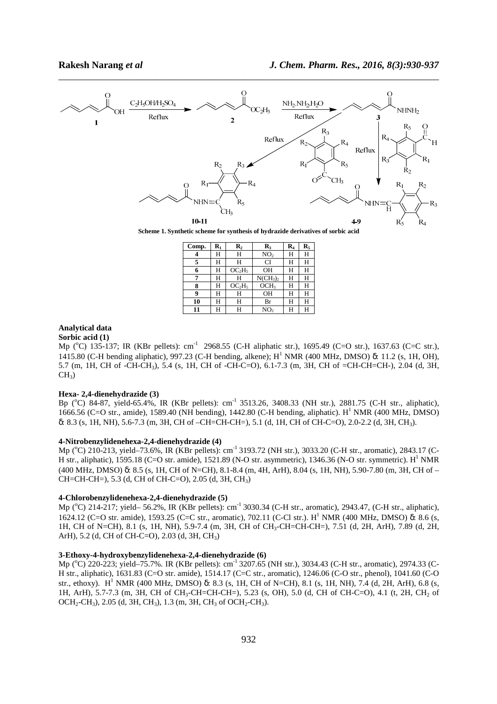

\_\_\_\_\_\_\_\_\_\_\_\_\_\_\_\_\_\_\_\_\_\_\_\_\_\_\_\_\_\_\_\_\_\_\_\_\_\_\_\_\_\_\_\_\_\_\_\_\_\_\_\_\_\_\_\_\_\_\_\_\_\_\_\_\_\_\_\_\_\_\_\_\_\_\_\_\_\_

**Scheme 1. Synthetic scheme for synthesis of hydrazide derivatives of sorbic acid** 

| Comp. | $\mathbf{R}_1$ | $\mathbf{R}_2$                 | $\mathbf{R}_3$                  | R4 | $\mathbf{R}_5$ |
|-------|----------------|--------------------------------|---------------------------------|----|----------------|
|       | Н              | Н                              | NO <sub>2</sub>                 | н  | Н              |
| 5     | Н              | Н                              | CI                              | Н  | Н              |
| 6     | Н              | OC <sub>2</sub> H <sub>5</sub> | ΟH                              | Н  | Н              |
| 7     | Н              | Н                              | NCH <sub>3</sub> ) <sub>2</sub> | Н  | Н              |
| 8     | Н              | OC <sub>2</sub> H <sub>5</sub> | OCH <sub>3</sub>                | н  | Н              |
| 9     | Н              | Н                              | <b>OH</b>                       | н  | Н              |
| 10    | Н              | Н                              | Br                              | н  | Н              |
| 11    | н              | Н                              | NO <sub>2</sub>                 | н  | н              |

# **Analytical data**

**Sorbic acid (1)** 

Mp (°C) 135-137; IR (KBr pellets): cm<sup>-1</sup> 2968.55 (C-H aliphatic str.), 1695.49 (C=O str.), 1637.63 (C=C str.), 1415.80 (C-H bending aliphatic), 997.23 (C-H bending, alkene); H<sup>1</sup> NMR (400 MHz, DMSO) δ: 11.2 (s, 1H, OH), 5.7 (m, 1H, CH of -CH-CH3), 5.4 (s, 1H, CH of -CH-C=O), 6.1-7.3 (m, 3H, CH of =CH-CH=CH-), 2.04 (d, 3H,  $CH<sub>3</sub>$ )

#### **Hexa- 2,4-dienehydrazide (3)**

Bp (°C) 84-87, yield-65.4%, IR (KBr pellets): cm<sup>-1</sup> 3513.26, 3408.33 (NH str.), 2881.75 (C-H str., aliphatic), 1666.56 (C=O str., amide), 1589.40 (NH bending), 1442.80 (C-H bending, aliphatic). H<sup>1</sup> NMR (400 MHz, DMSO) δ: 8.3 (s, 1H, NH), 5.6-7.3 (m, 3H, CH of –CH=CH-CH=), 5.1 (d, 1H, CH of CH-C=O), 2.0-2.2 (d, 3H, CH3).

# **4-Nitrobenzylidenehexa-2,4-dienehydrazide (4)**

Mp (°C) 210-213, yield-73.6%, IR (KBr pellets): cm<sup>-1</sup> 3193.72 (NH str.), 3033.20 (C-H str., aromatic), 2843.17 (C-H str., aliphatic), 1595.18 (C=O str. amide), 1521.89 (N-O str. asymmetric), 1346.36 (N-O str. symmetric). H<sup>1</sup> NMR (400 MHz, DMSO) δ: 8.5 (s, 1H, CH of N=CH), 8.1-8.4 (m, 4H, ArH), 8.04 (s, 1H, NH), 5.90-7.80 (m, 3H, CH of – CH=CH-CH=), 5.3 (d, CH of CH-C=O), 2.05 (d, 3H, CH3)

# **4-Chlorobenzylidenehexa-2,4-dienehydrazide (5)**

Mp (°C) 214-217; yield– 56.2%, IR (KBr pellets): cm<sup>-1</sup> 3030.34 (C-H str., aromatic), 2943.47, (C-H str., aliphatic), 1624.12 (C=O str. amide), 1593.25 (C=C str., aromatic), 702.11 (C-Cl str.). H<sup>1</sup> NMR (400 MHz, DMSO) δ: 8.6 (s, 1H, CH of N=CH), 8.1 (s, 1H, NH), 5.9-7.4 (m, 3H, CH of CH3-CH=CH-CH=), 7.51 (d, 2H, ArH), 7.89 (d, 2H, ArH), 5.2 (d, CH of CH-C=O), 2.03 (d, 3H, CH3)

# **3-Ethoxy-4-hydroxybenzylidenehexa-2,4-dienehydrazide (6)**

Mp (°C) 220-223; yield–75.7%. IR (KBr pellets): cm<sup>-1</sup> 3207.65 (NH str.), 3034.43 (C-H str., aromatic), 2974.33 (C-H str., aliphatic), 1631.83 (C=O str. amide), 1514.17 (C=C str., aromatic), 1246.06 (C-O str., phenol), 1041.60 (C-O str., ethoxy). H<sup>1</sup> NMR (400 MHz, DMSO) δ: 8.3 (s, 1H, CH of N=CH), 8.1 (s, 1H, NH), 7.4 (d, 2H, ArH), 6.8 (s, 1H, ArH), 5.7-7.3 (m, 3H, CH of CH<sub>3</sub>-CH=CH-CH=), 5.23 (s, OH), 5.0 (d, CH of CH-C=O), 4.1 (t, 2H, CH<sub>2</sub> of OCH<sub>2</sub>-CH<sub>3</sub>), 2.05 (d, 3H, CH<sub>3</sub>), 1.3 (m, 3H, CH<sub>3</sub> of OCH<sub>2</sub>-CH<sub>3</sub>).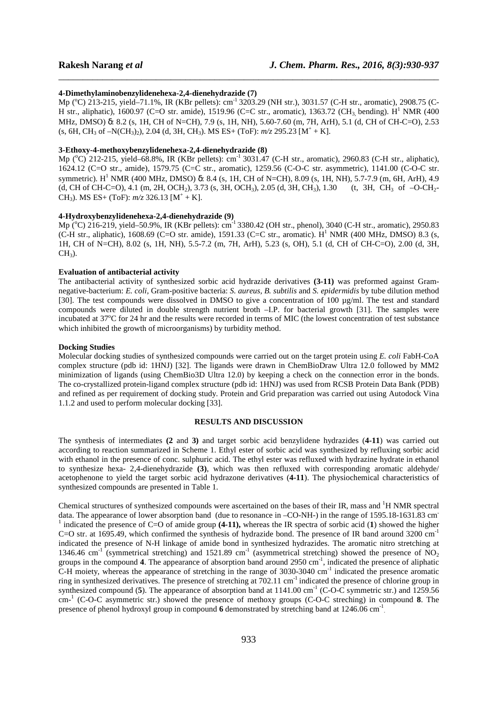#### **4-Dimethylaminobenzylidenehexa-2,4-dienehydrazide (7)**

Mp (°C) 213-215, yield–71.1%, IR (KBr pellets): cm<sup>-1</sup> 3203.29 (NH str.), 3031.57 (C-H str., aromatic), 2908.75 (C-H str., aliphatic), 1600.97 (C=O str. amide), 1519.96 (C=C str., aromatic), 1363.72 (CH<sub>3,</sub> bending). H<sup>1</sup> NMR (400 MHz, DMSO) δ: 8.2 (s, 1H, CH of N=CH), 7.9 (s, 1H, NH), 5.60-7.60 (m, 7H, ArH), 5.1 (d, CH of CH-C=O), 2.53  $(s, 6H, CH_3 of -N(CH_3)_2), 2.04 (d, 3H, CH_3). MS ES+ (ToF): m/z 295.23 [M<sup>+</sup> + K].$ 

\_\_\_\_\_\_\_\_\_\_\_\_\_\_\_\_\_\_\_\_\_\_\_\_\_\_\_\_\_\_\_\_\_\_\_\_\_\_\_\_\_\_\_\_\_\_\_\_\_\_\_\_\_\_\_\_\_\_\_\_\_\_\_\_\_\_\_\_\_\_\_\_\_\_\_\_\_\_

# **3-Ethoxy-4-methoxybenzylidenehexa-2,4-dienehydrazide (8)**

Mp (°C) 212-215, yield-68.8%, IR (KBr pellets): cm<sup>-1</sup> 3031.47 (C-H str., aromatic), 2960.83 (C-H str., aliphatic), 1624.12 (C=O str., amide), 1579.75 (C=C str., aromatic), 1259.56 (C-O-C str. asymmetric), 1141.00 (C-O-C str. symmetric). H<sup>1</sup> NMR (400 MHz, DMSO) δ: 8.4 (s, 1H, CH of N=CH), 8.09 (s, 1H, NH), 5.7-7.9 (m, 6H, ArH), 4.9 (d, CH of CH-C=O), 4.1 (m, 2H, OCH<sub>2</sub>), 3.73 (s, 3H, OCH<sub>3</sub>), 2.05 (d, 3H, CH<sub>3</sub>), 1.30 (t, 3H, CH<sub>3</sub> of  $-$ O-CH<sub>2</sub>-CH<sub>3</sub>). MS ES+ (ToF):  $m/z$  326.13 [M<sup>+</sup> + K].

### **4-Hydroxybenzylidenehexa-2,4-dienehydrazide (9)**

Mp (°C) 216-219, yield–50.9%, IR (KBr pellets): cm<sup>-1</sup> 3380.42 (OH str., phenol), 3040 (C-H str., aromatic), 2950.83 (C-H str., aliphatic), 1608.69 (C=O str. amide), 1591.33 (C=C str., aromatic).  $H^1$  NMR (400 MHz, DMSO) 8.3 (s, 1H, CH of N=CH), 8.02 (s, 1H, NH), 5.5-7.2 (m, 7H, ArH), 5.23 (s, OH), 5.1 (d, CH of CH-C=O), 2.00 (d, 3H,  $CH<sub>3</sub>$ ).

# **Evaluation of antibacterial activity**

The antibacterial activity of synthesized sorbic acid hydrazide derivatives **(3-11)** was preformed against Gramnegative-bacterium: *E. coli,* Gram-positive bacteria: *S. aureus, B. subtilis* and *S. epidermidis* by tube dilution method [30]. The test compounds were dissolved in DMSO to give a concentration of 100 µg/ml. The test and standard compounds were diluted in double strength nutrient broth –I.P. for bacterial growth [31]. The samples were incubated at  $37^{\circ}$ C for 24 hr and the results were recorded in terms of MIC (the lowest concentration of test substance which inhibited the growth of microorganisms) by turbidity method.

#### **Docking Studies**

Molecular docking studies of synthesized compounds were carried out on the target protein using *E. coli* FabH-CoA complex structure (pdb id: 1HNJ) [32]. The ligands were drawn in ChemBioDraw Ultra 12.0 followed by MM2 minimization of ligands (using ChemBio3D Ultra 12.0) by keeping a check on the connection error in the bonds. The co-crystallized protein-ligand complex structure (pdb id: 1HNJ) was used from RCSB Protein Data Bank (PDB) and refined as per requirement of docking study. Protein and Grid preparation was carried out using Autodock Vina 1.1.2 and used to perform molecular docking [33].

#### **RESULTS AND DISCUSSION**

The synthesis of intermediates **(2** and **3)** and target sorbic acid benzylidene hydrazides (**4-11**) was carried out according to reaction summarized in Scheme 1. Ethyl ester of sorbic acid was synthesized by refluxing sorbic acid with ethanol in the presence of conc. sulphuric acid. The ethyl ester was refluxed with hydrazine hydrate in ethanol to synthesize hexa- 2,4-dienehydrazide **(3)**, which was then refluxed with corresponding aromatic aldehyde/ acetophenone to yield the target sorbic acid hydrazone derivatives (**4-11**). The physiochemical characteristics of synthesized compounds are presented in Table 1.

Chemical structures of synthesized compounds were ascertained on the bases of their IR, mass and  ${}^{1}$ H NMR spectral data. The appearance of lower absorption band (due to resonance in –CO-NH-) in the range of 1595.18-1631.83 cm<sup>-</sup> <sup>1</sup> indicated the presence of C=O of amide group (4-11), whereas the IR spectra of sorbic acid (1) showed the higher C=O str. at 1695.49, which confirmed the synthesis of hydrazide bond. The presence of IR band around 3200  $cm^{-1}$ indicated the presence of N-H linkage of amide bond in synthesized hydrazides. The aromatic nitro stretching at 1346.46 cm<sup>-1</sup> (symmetrical stretching) and 1521.89 cm<sup>-1</sup> (asymmetrical stretching) showed the presence of NO<sub>2</sub> groups in the compound 4. The appearance of absorption band around 2950 cm<sup>-1</sup>, indicated the presence of aliphatic C-H moiety, whereas the appearance of stretching in the range of 3030-3040 cm-1 indicated the presence aromatic ring in synthesized derivatives. The presence of stretching at 702.11 cm-1 indicated the presence of chlorine group in synthesized compound (5). The appearance of absorption band at 1141.00 cm<sup>-1</sup> (C-O-C symmetric str.) and 1259.56 cm-<sup>1</sup> (C-O-C asymmetric str.) showed the presence of methoxy groups (C-O-C streching) in compound **8**. The presence of phenol hydroxyl group in compound 6 demonstrated by stretching band at 1246.06 cm<sup>-1</sup>.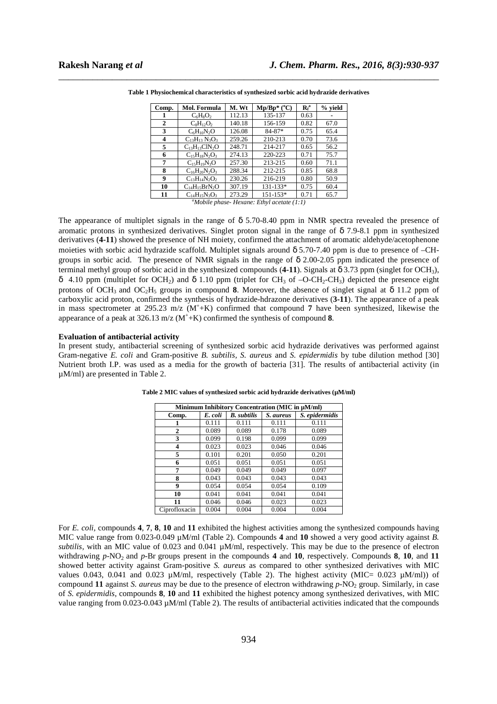| Comp. | <b>Mol. Formula</b>  | M. Wt  | $Mp/Bp*(^{\circ}C)$ | $R_f^a$ | % vield |
|-------|----------------------|--------|---------------------|---------|---------|
| 1     | $C_6H_8O_2$          | 112.13 | 135-137             | 0.63    |         |
| 2     | $C_8H_1, O_2$        | 140.18 | 156-159             | 0.82    | 67.0    |
| 3     | $C_6H_{10}N_2O$      | 126.08 | $84 - 87*$          | 0.75    | 65.4    |
| 4     | $C_{13}H_{13}N_3O_3$ | 259.26 | 210-213             | 0.70    | 73.6    |
| 5     | $C_{13}H_{13}CIN_2O$ | 248.71 | 214-217             | 0.65    | 56.2    |
| 6     | $C_{15}H_{18}N_2O_3$ | 274.13 | 220-223             | 0.71    | 75.7    |
| 7     | $C_{15}H_{19}N_3O$   | 257.30 | 213-215             | 0.60    | 71.1    |
| 8     | $C_{16}H_{20}N_2O_3$ | 288.34 | 212-215             | 0.85    | 68.8    |
| 9     | $C_{13}H_{14}N_2O_2$ | 230.26 | 216-219             | 0.80    | 50.9    |
| 10    | $C_{14}H_{15}BrN_2O$ | 307.19 | 131-133*            | 0.75    | 60.4    |
| 11    | $C_{14}H_{15}N_3O_3$ | 273.29 | $151 - 153*$        | 0.71    | 65.7    |

\_\_\_\_\_\_\_\_\_\_\_\_\_\_\_\_\_\_\_\_\_\_\_\_\_\_\_\_\_\_\_\_\_\_\_\_\_\_\_\_\_\_\_\_\_\_\_\_\_\_\_\_\_\_\_\_\_\_\_\_\_\_\_\_\_\_\_\_\_\_\_\_\_\_\_\_\_\_ **Table 1 Physiochemical characteristics of synthesized sorbic acid hydrazide derivatives** 

*<sup>a</sup>Mobile phase- Hexane: Ethyl acetate (1:1)* 

The appearance of multiplet signals in the range of  $\delta$  5.70-8.40 ppm in NMR spectra revealed the presence of aromatic protons in synthesized derivatives. Singlet proton signal in the range of  $\delta$  7.9-8.1 ppm in synthesized derivatives (4-11) showed the presence of NH moiety, confirmed the attachment of aromatic aldehyde/acetophenone moieties with sorbic acid hydrazide scaffold. Multiplet signals around  $\delta$  5.70-7.40 ppm is due to presence of –CHgroups in sorbic acid. The presence of NMR signals in the range of  $\delta$  2.00-2.05 ppm indicated the presence of terminal methyl group of sorbic acid in the synthesized compounds (4-11). Signals at  $\delta$  3.73 ppm (singlet for OCH<sub>3</sub>), δ 4.10 ppm (multiplet for OCH<sub>2</sub>) and δ 1.10 ppm (triplet for CH<sub>3</sub> of -O-CH<sub>2</sub>-CH<sub>3</sub>) depicted the presence eight protons of OCH<sub>3</sub> and OC<sub>2</sub>H<sub>5</sub> groups in compound **8**. Moreover, the absence of singlet signal at  $\delta$  11.2 ppm of carboxylic acid proton, confirmed the synthesis of hydrazide-hdrazone derivatives (**3-11**). The appearance of a peak in mass spectrometer at 295.23 m/z (M<sup>+</sup> +K) confirmed that compound **7** have been synthesized, likewise the appearance of a peak at  $326.13 \text{ m/z}$  (M<sup>+</sup>+K) confirmed the synthesis of compound **8**.

# **Evaluation of antibacterial activity**

In present study, antibacterial screening of synthesized sorbic acid hydrazide derivatives was performed against Gram-negative *E. coli* and Gram-positive *B. subtilis, S. aureus* and *S. epidermidis* by tube dilution method [30] Nutrient broth I.P. was used as a media for the growth of bacteria [31]. The results of antibacterial activity (in µM/ml) are presented in Table 2.

| Minimum Inhibitory Concentration (MIC in µM/ml) |         |                    |           |                |  |
|-------------------------------------------------|---------|--------------------|-----------|----------------|--|
| Comp.                                           | E. coli | <b>B.</b> subtilis | S. aureus | S. epidermidis |  |
|                                                 | 0.111   | 0.111              | 0.111     | 0.111          |  |
| 2                                               | 0.089   | 0.089              | 0.178     | 0.089          |  |
| 3                                               | 0.099   | 0.198              | 0.099     | 0.099          |  |
| 4                                               | 0.023   | 0.023              | 0.046     | 0.046          |  |
| 5                                               | 0.101   | 0.201              | 0.050     | 0.201          |  |
| 6                                               | 0.051   | 0.051              | 0.051     | 0.051          |  |
| 7                                               | 0.049   | 0.049              | 0.049     | 0.097          |  |
| 8                                               | 0.043   | 0.043              | 0.043     | 0.043          |  |
| 9                                               | 0.054   | 0.054              | 0.054     | 0.109          |  |
| 10                                              | 0.041   | 0.041              | 0.041     | 0.041          |  |
| 11                                              | 0.046   | 0.046              | 0.023     | 0.023          |  |
| Ciprofloxacin                                   | 0.004   | 0.004              | 0.004     | 0.004          |  |

**Table 2 MIC values of synthesized sorbic acid hydrazide derivatives (µM/ml)** 

For *E. coli,* compounds **4**, **7**, **8**, **10** and **11** exhibited the highest activities among the synthesized compounds having MIC value range from 0.023-0.049 µM/ml (Table 2). Compounds **4** and **10** showed a very good activity against *B. subtilis,* with an MIC value of 0.023 and 0.041 µM/ml, respectively. This may be due to the presence of electron withdrawing *p*-NO<sub>2</sub> and *p*-Br groups present in the compounds **4** and **10**, respectively. Compounds **8**, **10**, and **11** showed better activity against Gram-positive *S. aureus* as compared to other synthesized derivatives with MIC values 0.043, 0.041 and 0.023  $\mu$ M/ml, respectively (Table 2). The highest activity (MIC= 0.023  $\mu$ M/ml)) of compound **11** against *S. aureus* may be due to the presence of electron withdrawing *p*-NO<sub>2</sub> group. Similarly, in case of *S. epidermidis*, compounds **8**, **10** and **11** exhibited the highest potency among synthesized derivatives, with MIC value ranging from 0.023-0.043 µM/ml (Table 2). The results of antibacterial activities indicated that the compounds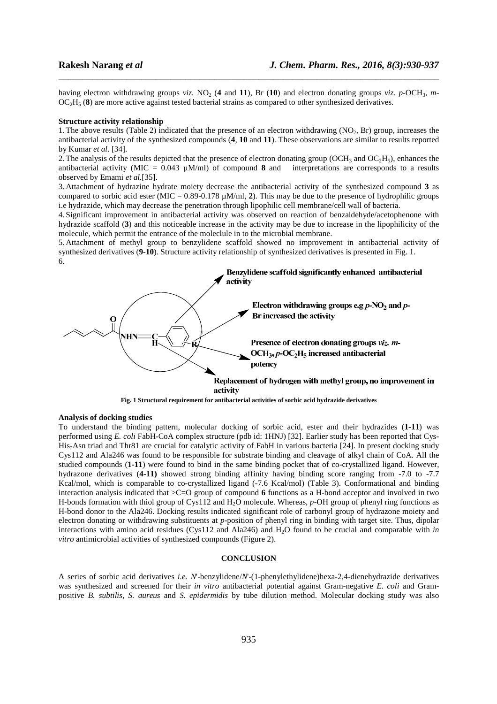having electron withdrawing groups *viz.* NO<sub>2</sub> (4 and 11), Br (10) and electron donating groups *viz. p*-OCH<sub>3</sub>, *m*-OC2H5 (**8**) are more active against tested bacterial strains as compared to other synthesized derivatives*.* 

\_\_\_\_\_\_\_\_\_\_\_\_\_\_\_\_\_\_\_\_\_\_\_\_\_\_\_\_\_\_\_\_\_\_\_\_\_\_\_\_\_\_\_\_\_\_\_\_\_\_\_\_\_\_\_\_\_\_\_\_\_\_\_\_\_\_\_\_\_\_\_\_\_\_\_\_\_\_

#### **Structure activity relationship**

1. The above results (Table 2) indicated that the presence of an electron withdrawing (NO<sub>2</sub>, Br) group, increases the antibacterial activity of the synthesized compounds (**4**, **10** and **11**). These observations are similar to results reported by Kumar *et al.* [34].

2. The analysis of the results depicted that the presence of electron donating group (OCH<sub>3</sub> and OC<sub>2</sub>H<sub>5</sub>), enhances the antibacterial activity (MIC = 0.043 µM/ml) of compound **8** and interpretations are corresponds to a results observed by Emami *et al.*[35].

3. Attachment of hydrazine hydrate moiety decrease the antibacterial activity of the synthesized compound **3** as compared to sorbic acid ester (MIC =  $0.89$ -0.178  $\mu$ M/ml, 2). This may be due to the presence of hydrophilic groups i.e hydrazide, which may decrease the penetration through lipophilic cell membrane/cell wall of bacteria.

4. Significant improvement in antibacterial activity was observed on reaction of benzaldehyde/acetophenone with hydrazide scaffold (**3**) and this noticeable increase in the activity may be due to increase in the lipophilicity of the molecule, which permit the entrance of the moleclule in to the microbial membrane.

5. Attachment of methyl group to benzylidene scaffold showed no improvement in antibacterial activity of synthesized derivatives (**9-10**). Structure activity relationship of synthesized derivatives is presented in Fig. 1. 6.





# **Analysis of docking studies**

To understand the binding pattern, molecular docking of sorbic acid, ester and their hydrazides (**1-11**) was performed using *E. coli* FabH-CoA complex structure (pdb id: 1HNJ) [32]. Earlier study has been reported that Cys-His-Asn triad and Thr81 are crucial for catalytic activity of FabH in various bacteria [24]. In present docking study Cys112 and Ala246 was found to be responsible for substrate binding and cleavage of alkyl chain of CoA. All the studied compounds (**1-11**) were found to bind in the same binding pocket that of co-crystallized ligand. However, hydrazone derivatives (**4-11)** showed strong binding affinity having binding score ranging from -7.0 to -7.7 Kcal/mol, which is comparable to co-crystallized ligand (-7.6 Kcal/mol) (Table 3). Conformational and binding interaction analysis indicated that >C=O group of compound **6** functions as a H-bond acceptor and involved in two H-bonds formation with thiol group of Cys112 and H2O molecule. Whereas, *p*-OH group of phenyl ring functions as H-bond donor to the Ala246. Docking results indicated significant role of carbonyl group of hydrazone moiety and electron donating or withdrawing substituents at *p*-position of phenyl ring in binding with target site. Thus, dipolar interactions with amino acid residues (Cys112 and Ala246) and H<sub>2</sub>O found to be crucial and comparable with *in vitro* antimicrobial activities of synthesized compounds (Figure 2).

#### **CONCLUSION**

A series of sorbic acid derivatives *i.e. N*'-benzylidene/*N*'-(1-phenylethylidene)hexa-2,4-dienehydrazide derivatives was synthesized and screened for their *in vitro* antibacterial potential against Gram-negative *E. coli* and Grampositive *B. subtilis, S. aureus* and *S. epidermidis* by tube dilution method. Molecular docking study was also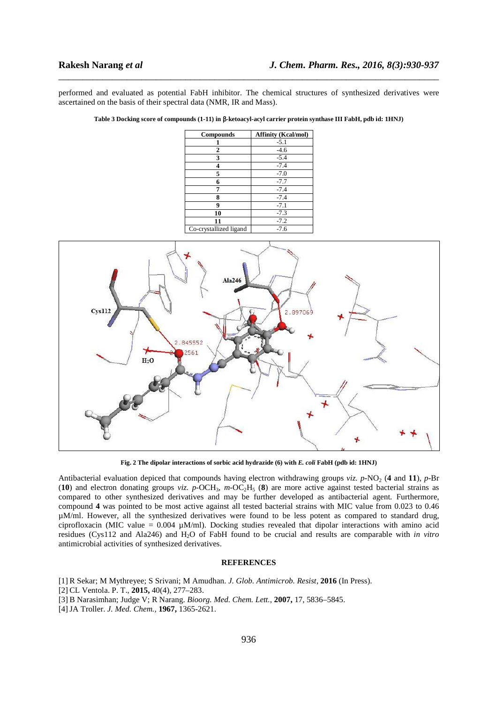performed and evaluated as potential FabH inhibitor. The chemical structures of synthesized derivatives were ascertained on the basis of their spectral data (NMR, IR and Mass).

\_\_\_\_\_\_\_\_\_\_\_\_\_\_\_\_\_\_\_\_\_\_\_\_\_\_\_\_\_\_\_\_\_\_\_\_\_\_\_\_\_\_\_\_\_\_\_\_\_\_\_\_\_\_\_\_\_\_\_\_\_\_\_\_\_\_\_\_\_\_\_\_\_\_\_\_\_\_

**Table 3 Docking score of compounds (1-11) in** β**-ketoacyl-acyl carrier protein synthase III FabH, pdb id: 1HNJ)** 

| Compounds              | <b>Affinity (Kcal/mol)</b> |  |
|------------------------|----------------------------|--|
|                        | $-5.1$                     |  |
| 2                      | $-4.6$                     |  |
| 3                      | $-5.4$                     |  |
| 4                      | $-7.4$                     |  |
| 5                      | $-7.0$                     |  |
| 6                      | $-7.7$                     |  |
| 7                      | $-7.4$                     |  |
| 8                      | $-7.4$                     |  |
| 9                      | $-7.1$                     |  |
| 10                     | $-7.3$                     |  |
| 11                     | $-7.2$                     |  |
| Co-crystallized ligand | $-7.6$                     |  |



**Fig. 2 The dipolar interactions of sorbic acid hydrazide (6) with** *E. coli* **FabH (pdb id: 1HNJ)** 

Antibacterial evaluation depiced that compounds having electron withdrawing groups *viz.*  $p$ -NO<sub>2</sub> (4 and 11),  $p$ -Br (**10**) and electron donating groups *viz.*  $p$ -OCH<sub>3</sub>,  $m$ -OC<sub>2</sub>H<sub>5</sub> (**8**) are more active against tested bacterial strains as compared to other synthesized derivatives and may be further developed as antibacterial agent*.* Furthermore, compound **4** was pointed to be most active against all tested bacterial strains with MIC value from 0.023 to 0.46 µM/ml. However, all the synthesized derivatives were found to be less potent as compared to standard drug, ciprofloxacin (MIC value =  $0.004 \mu M/ml$ ). Docking studies revealed that dipolar interactions with amino acid residues (Cys112 and Ala246) and H2O of FabH found to be crucial and results are comparable with *in vitro*  antimicrobial activities of synthesized derivatives.

# **REFERENCES**

- [1] R Sekar; M Mythreyee; S Srivani; M Amudhan. *J. Glob. Antimicrob. Resist*, **2016** (In Press).
- [2] CL Ventola. P. T., **2015,** 40(4), 277–283.
- [3] B Narasimhan; Judge V; R Narang. *Bioorg. Med. Chem. Lett.*, **2007,** 17, 5836–5845.
- [4]JA Troller. *J. Med. Chem.,* **1967,** 1365-2621.